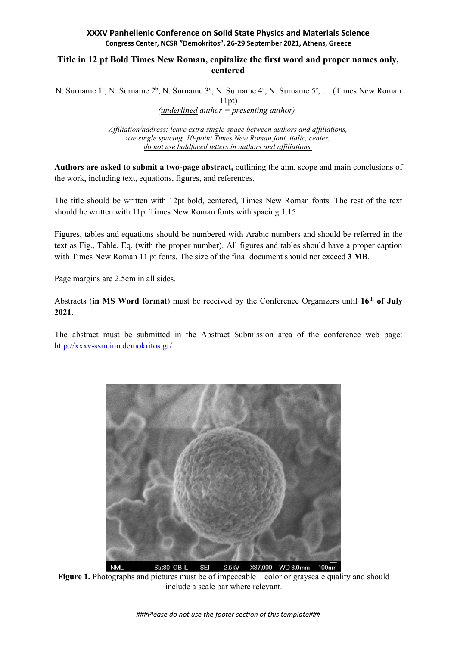## **Title in 12 pt Bold Times New Roman, capitalize the first word and proper names only, centered**

N. Surname 1<sup>a</sup>, <u>N. Surname 2<sup>b</sup></u>, N. Surname 3<sup>c</sup>, N. Surname 4<sup>a</sup>, N. Surname 5<sup>c</sup>, ... (Times New Roman 11pt) *(underlined author = presenting author)*

> *Affiliation/address: leave extra single-space between authors and affiliations, use single spacing, 10-point Times New Roman font, italic, center, do not use boldfaced letters in authors and affiliations.*

**Authors are asked to submit a two-page abstract,** outlining the aim, scope and main conclusions of the work**,** including text, equations, figures, and references.

The title should be written with 12pt bold, centered, Times New Roman fonts. The rest of the text should be written with 11pt Times New Roman fonts with spacing 1.15.

Figures, tables and equations should be numbered with Arabic numbers and should be referred in the text as Fig., Table, Eq. (with the proper number). All figures and tables should have a proper caption with Times New Roman 11 pt fonts. The size of the final document should not exceed **3 MB**.

Page margins are 2.5cm in all sides.

Abstracts (**in MS Word format**) must be received by the Conference Organizers until **16th of July 2021**.

The abstract must be submitted in the Abstract Submission area of the conference web page: <http://xxxv-ssm.inn.demokritos.gr/>



**Figure 1.** Photographs and pictures must be of impeccable color or grayscale quality and should include a scale bar where relevant.